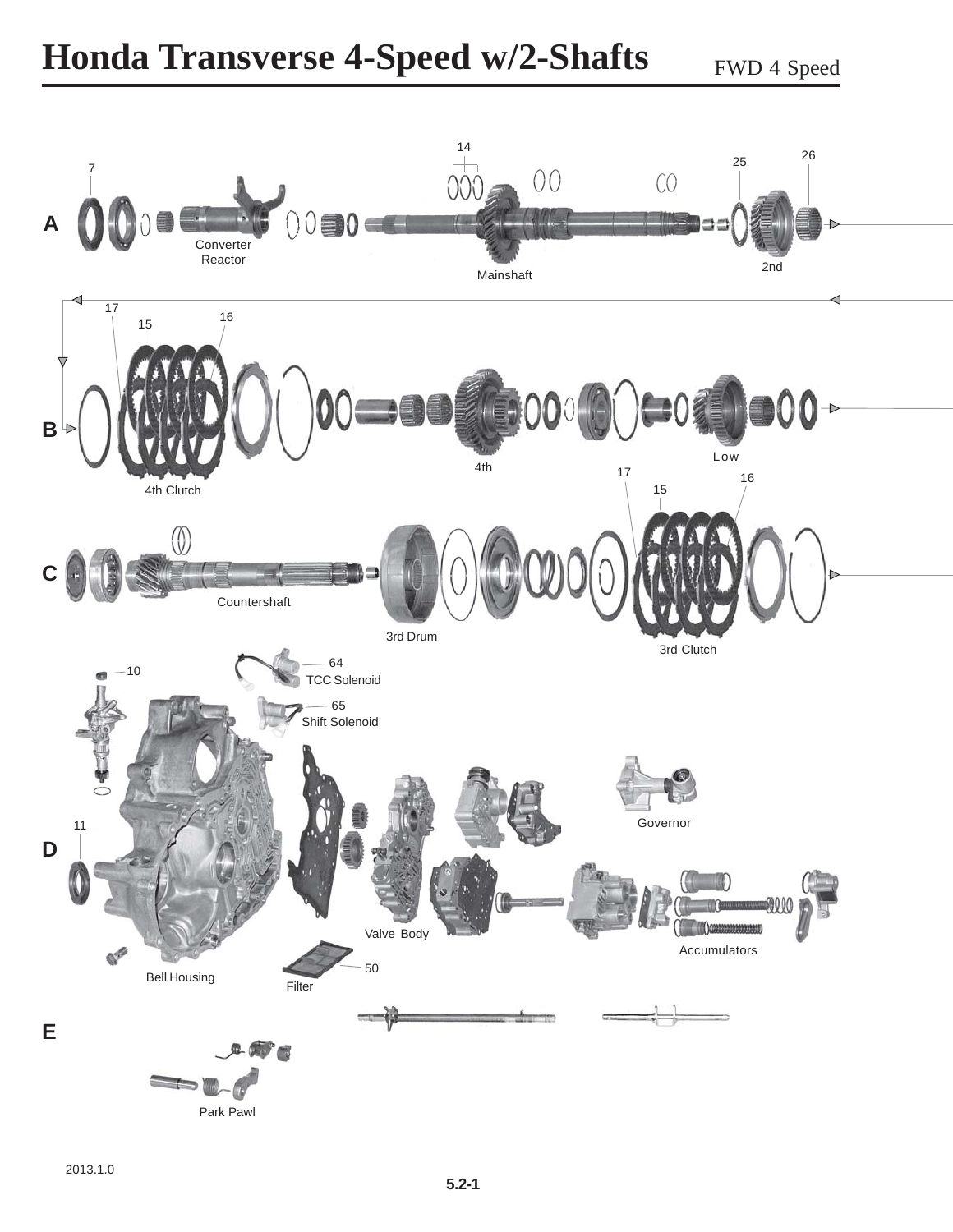## **Honda Transverse 4-Speed w/2-Shafts**

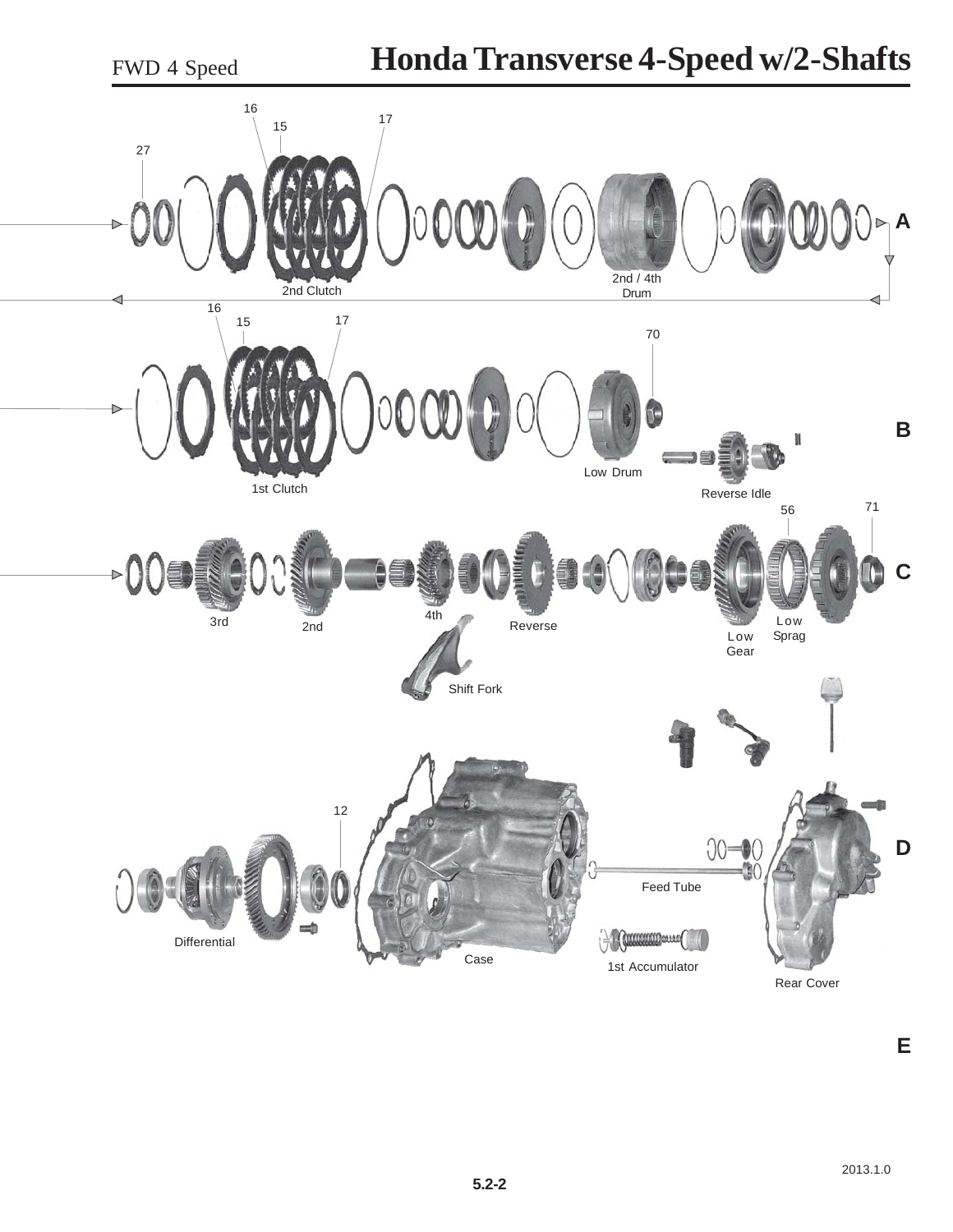

**E**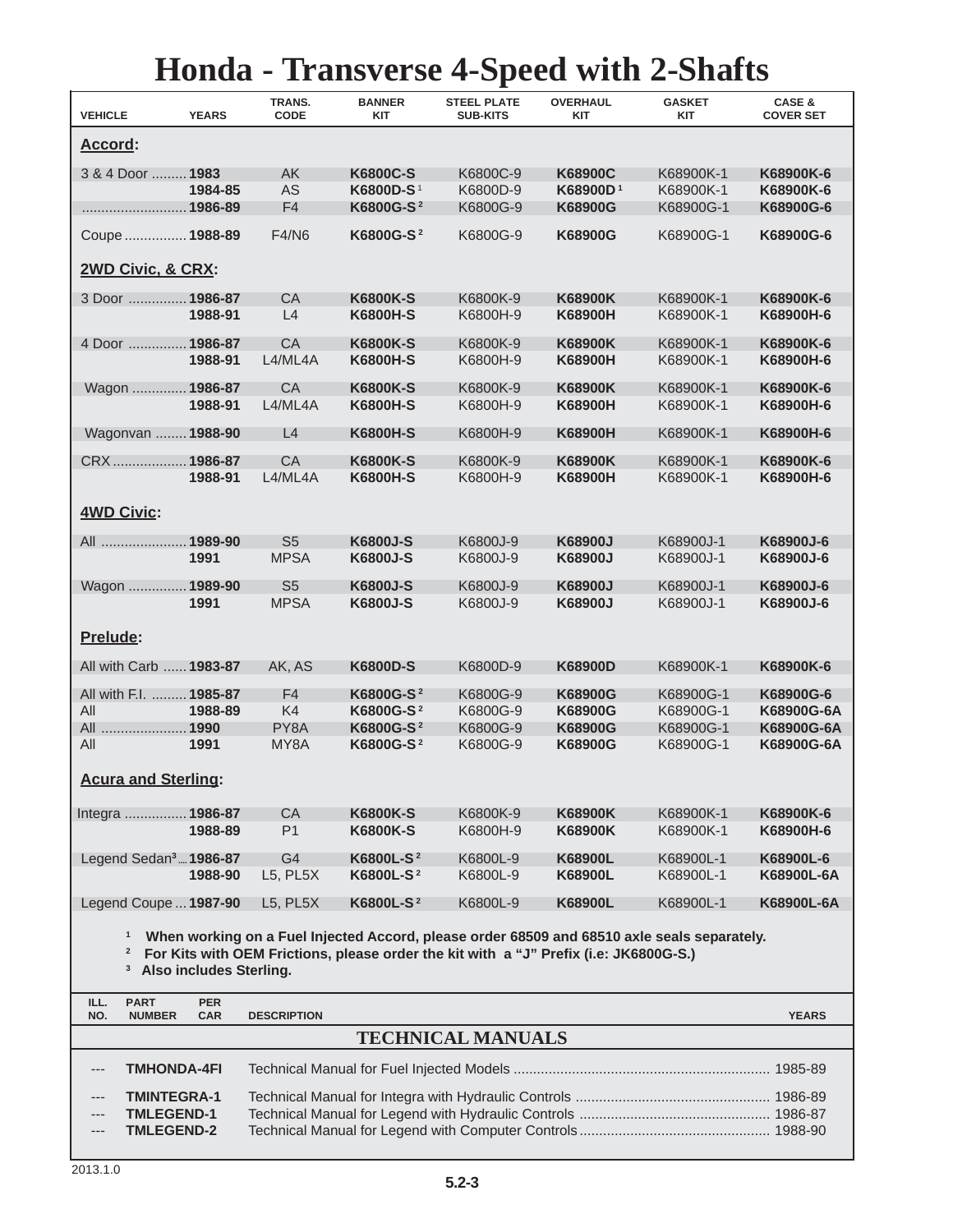## **Honda - Transverse 4-Speed with 2-Shafts**

| <b>VEHICLE</b>                    | <b>YEARS</b>                         | TRANS.<br><b>CODE</b> | <b>BANNER</b><br><b>KIT</b> | <b>STEEL PLATE</b><br><b>SUB-KITS</b> | <b>OVERHAUL</b><br>KIT                                                                | <b>GASKET</b><br>KIT                                                                        | CASE &<br><b>COVER SET</b> |  |
|-----------------------------------|--------------------------------------|-----------------------|-----------------------------|---------------------------------------|---------------------------------------------------------------------------------------|---------------------------------------------------------------------------------------------|----------------------------|--|
| <u>Accord:</u>                    |                                      |                       |                             |                                       |                                                                                       |                                                                                             |                            |  |
| 3 & 4 Door  1983                  |                                      | <b>AK</b>             | <b>K6800C-S</b>             | K6800C-9                              | K68900C                                                                               | K68900K-1                                                                                   | K68900K-6                  |  |
|                                   | 1984-85                              | AS                    | K6800D-S <sup>1</sup>       | K6800D-9                              | K68900D <sup>1</sup>                                                                  | K68900K-1                                                                                   | K68900K-6                  |  |
|                                   |                                      | F4                    | K6800G-S <sup>2</sup>       | K6800G-9                              | K68900G                                                                               | K68900G-1                                                                                   | K68900G-6                  |  |
| Coupe  1988-89                    |                                      | F4/N6                 | K6800G-S <sup>2</sup>       | K6800G-9                              | K68900G                                                                               | K68900G-1                                                                                   | K68900G-6                  |  |
|                                   | 2WD Civic, & CRX:                    |                       |                             |                                       |                                                                                       |                                                                                             |                            |  |
| 3 Door  1986-87                   |                                      | CA                    | <b>K6800K-S</b>             | K6800K-9                              | K68900K                                                                               | K68900K-1                                                                                   | K68900K-6                  |  |
|                                   | 1988-91                              | L4                    | <b>K6800H-S</b>             | K6800H-9                              | K68900H                                                                               | K68900K-1                                                                                   | K68900H-6                  |  |
| 4 Door  1986-87                   |                                      | CA                    | <b>K6800K-S</b>             | K6800K-9                              | <b>K68900K</b>                                                                        | K68900K-1                                                                                   | K68900K-6                  |  |
|                                   | 1988-91                              | L4/ML4A               | <b>K6800H-S</b>             | K6800H-9                              | <b>K68900H</b>                                                                        | K68900K-1                                                                                   | K68900H-6                  |  |
|                                   |                                      |                       |                             |                                       |                                                                                       |                                                                                             |                            |  |
| Wagon  1986-87                    | 1988-91                              | CA                    | <b>K6800K-S</b>             | K6800K-9                              | <b>K68900K</b><br>K68900H                                                             | K68900K-1                                                                                   | K68900K-6                  |  |
|                                   |                                      | L4/ML4A               | K6800H-S                    | K6800H-9                              |                                                                                       | K68900K-1                                                                                   | K68900H-6                  |  |
| Wagonvan  1988-90                 |                                      | L4                    | <b>K6800H-S</b>             | K6800H-9                              | K68900H                                                                               | K68900K-1                                                                                   | K68900H-6                  |  |
| CRX  1986-87                      |                                      | CA                    | <b>K6800K-S</b>             | K6800K-9                              | <b>K68900K</b>                                                                        | K68900K-1                                                                                   | K68900K-6                  |  |
|                                   | 1988-91                              | L4/ML4A               | <b>K6800H-S</b>             | K6800H-9                              | K68900H                                                                               | K68900K-1                                                                                   | K68900H-6                  |  |
|                                   |                                      |                       |                             |                                       |                                                                                       |                                                                                             |                            |  |
| <b>4WD Civic:</b>                 |                                      |                       |                             |                                       |                                                                                       |                                                                                             |                            |  |
| All  1989-90                      |                                      | S <sub>5</sub>        | <b>K6800J-S</b>             | K6800J-9                              | K68900J                                                                               | K68900J-1                                                                                   | K68900J-6                  |  |
|                                   | 1991                                 | <b>MPSA</b>           | K6800J-S                    | K6800J-9                              | K68900J                                                                               | K68900J-1                                                                                   | K68900J-6                  |  |
|                                   |                                      |                       |                             |                                       |                                                                                       |                                                                                             |                            |  |
| Wagon  1989-90                    |                                      | S <sub>5</sub>        | <b>K6800J-S</b>             | K6800J-9                              | K68900J                                                                               | K68900J-1                                                                                   | K68900J-6                  |  |
|                                   | 1991                                 | <b>MPSA</b>           | <b>K6800J-S</b>             | K6800J-9                              | K68900J                                                                               | K68900J-1                                                                                   | K68900J-6                  |  |
| Prelude:                          |                                      |                       |                             |                                       |                                                                                       |                                                                                             |                            |  |
| All with Carb  1983-87            |                                      | AK, AS                | <b>K6800D-S</b>             | K6800D-9                              | K68900D                                                                               | K68900K-1                                                                                   | K68900K-6                  |  |
| All with F.I.  1985-87            |                                      | F <sub>4</sub>        | K6800G-S <sup>2</sup>       | K6800G-9                              | K68900G                                                                               | K68900G-1                                                                                   | K68900G-6                  |  |
| All                               | 1988-89                              | K <sub>4</sub>        | K6800G-S <sup>2</sup>       | K6800G-9                              | K68900G                                                                               | K68900G-1                                                                                   | K68900G-6A                 |  |
| All                               |                                      | PY8A                  | K6800G-S <sup>2</sup>       | K6800G-9                              | K68900G                                                                               | K68900G-1                                                                                   | K68900G-6A                 |  |
| All                               | 1991                                 | MY8A                  | K6800G-S <sup>2</sup>       | K6800G-9                              | K68900G                                                                               | K68900G-1                                                                                   | K68900G-6A                 |  |
| <b>Acura and Sterling:</b>        |                                      |                       |                             |                                       |                                                                                       |                                                                                             |                            |  |
| Integra  1986-87                  |                                      | <b>CA</b>             | <b>K6800K-S</b>             | K6800K-9                              | K68900K                                                                               | K68900K-1                                                                                   | K68900K-6                  |  |
|                                   | 1988-89                              | P <sub>1</sub>        | <b>K6800K-S</b>             | K6800H-9                              | K68900K                                                                               | K68900K-1                                                                                   | K68900H-6                  |  |
| Legend Sedan <sup>3</sup> 1986-87 |                                      | G <sub>4</sub>        | K6800L-S <sup>2</sup>       | K6800L-9                              | K68900L                                                                               | K68900L-1                                                                                   | K68900L-6                  |  |
|                                   | 1988-90                              | L5, PL5X              | K6800L-S <sup>2</sup>       | K6800L-9                              | K68900L                                                                               | K68900L-1                                                                                   | K68900L-6A                 |  |
|                                   |                                      | L5, PL5X              | K6800L-S <sup>2</sup>       | K6800L-9                              | K68900L                                                                               | K68900L-1                                                                                   | K68900L-6A                 |  |
| Legend Coupe  1987-90             |                                      |                       |                             |                                       |                                                                                       |                                                                                             |                            |  |
| $\mathbf{1}$                      |                                      |                       |                             |                                       |                                                                                       | When working on a Fuel Injected Accord, please order 68509 and 68510 axle seals separately. |                            |  |
| $\overline{a}$                    |                                      |                       |                             |                                       | For Kits with OEM Frictions, please order the kit with a "J" Prefix (i.e: JK6800G-S.) |                                                                                             |                            |  |
|                                   | <sup>3</sup> Also includes Sterling. |                       |                             |                                       |                                                                                       |                                                                                             |                            |  |
| <b>PART</b><br>ILL.               | <b>PER</b>                           |                       |                             |                                       |                                                                                       |                                                                                             |                            |  |
| <b>NUMBER</b><br>NO.              | <b>CAR</b>                           | <b>DESCRIPTION</b>    |                             |                                       |                                                                                       |                                                                                             | <b>YEARS</b>               |  |
| <b>TECHNICAL MANUALS</b>          |                                      |                       |                             |                                       |                                                                                       |                                                                                             |                            |  |
| <b>TMHONDA-4FI</b><br>---         |                                      |                       |                             |                                       |                                                                                       |                                                                                             |                            |  |
| <b>TMINTEGRA-1</b><br>---         |                                      |                       |                             |                                       |                                                                                       |                                                                                             |                            |  |
| <b>TMLEGEND-1</b>                 |                                      |                       |                             |                                       |                                                                                       |                                                                                             |                            |  |
| <b>TMLEGEND-2</b>                 |                                      |                       |                             |                                       |                                                                                       |                                                                                             |                            |  |
|                                   |                                      |                       |                             |                                       |                                                                                       |                                                                                             |                            |  |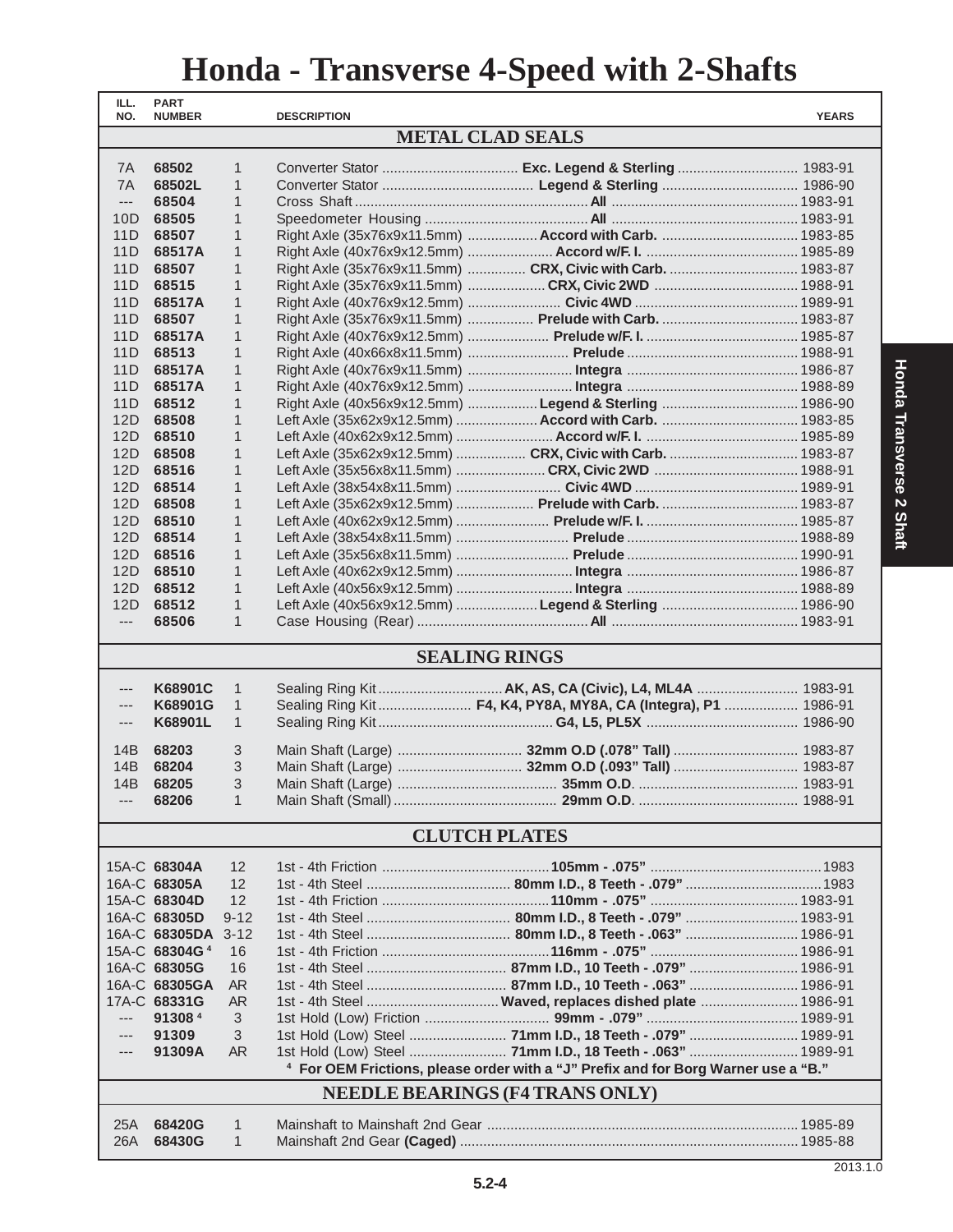## **Honda - Transverse 4-Speed with 2-Shafts**

| ILL.<br>NO.                            | <b>PART</b><br><b>NUMBER</b>                                                       |                   | <b>DESCRIPTION</b> |                                                                 | <b>YEARS</b> |  |  |
|----------------------------------------|------------------------------------------------------------------------------------|-------------------|--------------------|-----------------------------------------------------------------|--------------|--|--|
| <b>METAL CLAD SEALS</b>                |                                                                                    |                   |                    |                                                                 |              |  |  |
| 7A                                     | 68502                                                                              | 1                 |                    |                                                                 |              |  |  |
| 7A                                     | 68502L                                                                             | 1                 |                    |                                                                 |              |  |  |
| $\overline{a}$                         | 68504                                                                              | $\mathbf{1}$      |                    |                                                                 |              |  |  |
| 10D                                    | 68505                                                                              | $\mathbf{1}$      |                    |                                                                 |              |  |  |
| 11D                                    | 68507                                                                              | 1                 |                    | Right Axle (35x76x9x11.5mm)  Accord with Carb.  1983-85         |              |  |  |
| 11D                                    | 68517A                                                                             | 1                 |                    |                                                                 |              |  |  |
| 11D                                    | 68507                                                                              | 1                 |                    | Right Axle (35x76x9x11.5mm)  CRX, Civic with Carb.  1983-87     |              |  |  |
| 11D                                    | 68515                                                                              | $\mathbf{1}$      |                    |                                                                 |              |  |  |
| 11D                                    | 68517A                                                                             | $\mathbf{1}$      |                    |                                                                 |              |  |  |
| 11D                                    | 68507                                                                              | 1                 |                    | Right Axle (35x76x9x11.5mm)  Prelude with Carb.  1983-87        |              |  |  |
| 11D<br>11D                             | 68517A                                                                             | 1<br>1            |                    |                                                                 |              |  |  |
| 11D                                    | 68513<br>68517A                                                                    | $\mathbf{1}$      |                    |                                                                 |              |  |  |
| 11D                                    | 68517A                                                                             | $\mathbf{1}$      |                    |                                                                 |              |  |  |
| 11D                                    | 68512                                                                              | 1                 |                    | Right Axle (40x56x9x12.5mm) Legend & Sterling  1986-90          |              |  |  |
| 12D                                    | 68508                                                                              | $\mathbf{1}$      |                    |                                                                 |              |  |  |
| 12D                                    | 68510                                                                              | 1                 |                    |                                                                 |              |  |  |
| 12D                                    | 68508                                                                              | $\mathbf{1}$      |                    | Left Axle (35x62x9x12.5mm)  CRX, Civic with Carb.  1983-87      |              |  |  |
| 12D                                    | 68516                                                                              | $\mathbf{1}$      |                    |                                                                 |              |  |  |
| 12D                                    | 68514                                                                              | $\mathbf{1}$      |                    |                                                                 |              |  |  |
| 12D                                    | 68508                                                                              | $\mathbf{1}$      |                    | Left Axle (35x62x9x12.5mm)  Prelude with Carb.  1983-87         |              |  |  |
| 12D                                    | 68510                                                                              | 1                 |                    |                                                                 |              |  |  |
| 12D                                    | 68514                                                                              | $\mathbf{1}$      |                    |                                                                 |              |  |  |
| 12D                                    | 68516                                                                              | $\mathbf{1}$      |                    |                                                                 |              |  |  |
| 12D                                    | 68510                                                                              | $\mathbf{1}$      |                    |                                                                 |              |  |  |
| 12D<br>12D                             | 68512<br>68512                                                                     | $\mathbf{1}$<br>1 |                    | Left Axle (40x56x9x12.5mm)  Legend & Sterling  1986-90          |              |  |  |
| $\overline{a}$                         | 68506                                                                              | $\mathbf{1}$      |                    |                                                                 |              |  |  |
|                                        |                                                                                    |                   |                    |                                                                 |              |  |  |
|                                        |                                                                                    |                   |                    | <b>SEALING RINGS</b>                                            |              |  |  |
| $---$                                  | K68901C                                                                            | $\mathbf{1}$      |                    |                                                                 |              |  |  |
| $---$                                  | K68901G                                                                            | $\mathbf{1}$      |                    | Sealing Ring Kit  F4, K4, PY8A, MY8A, CA (Integra), P1  1986-91 |              |  |  |
| $\qquad \qquad -$                      | K68901L                                                                            | $\mathbf{1}$      |                    |                                                                 |              |  |  |
| 14B                                    | 68203                                                                              | 3                 |                    |                                                                 |              |  |  |
| 14B                                    | 68204                                                                              | 3                 |                    |                                                                 |              |  |  |
| 14B                                    | 68205                                                                              | 3                 |                    |                                                                 |              |  |  |
|                                        | 68206                                                                              | 1                 |                    |                                                                 |              |  |  |
|                                        |                                                                                    |                   |                    |                                                                 |              |  |  |
|                                        |                                                                                    |                   |                    | <b>CLUTCH PLATES</b>                                            |              |  |  |
|                                        | 15A-C 68304A                                                                       | 12                |                    |                                                                 |              |  |  |
|                                        | 16A-C 68305A                                                                       | 12                |                    |                                                                 |              |  |  |
|                                        | 15A-C 68304D                                                                       | 12                |                    |                                                                 |              |  |  |
|                                        | 16A-C 68305D                                                                       | $9 - 12$          |                    |                                                                 |              |  |  |
|                                        | 16A-C 68305DA 3-12                                                                 |                   |                    |                                                                 |              |  |  |
|                                        | 15A-C 68304G <sup>4</sup>                                                          | 16                |                    |                                                                 |              |  |  |
|                                        | 16A-C 68305G                                                                       | 16                |                    |                                                                 |              |  |  |
|                                        | 16A-C 68305GA<br>17A-C 68331G                                                      | AR<br>AR.         |                    |                                                                 |              |  |  |
| $---$                                  | 913084                                                                             | 3                 |                    |                                                                 |              |  |  |
| $---$                                  | 91309                                                                              | 3                 |                    | 1st Hold (Low) Steel  71mm I.D., 18 Teeth - .079"  1989-91      |              |  |  |
|                                        | 91309A                                                                             | AR.               |                    | 1st Hold (Low) Steel  71mm I.D., 18 Teeth - .063"  1989-91      |              |  |  |
|                                        | 4 For OEM Frictions, please order with a "J" Prefix and for Borg Warner use a "B." |                   |                    |                                                                 |              |  |  |
| <b>NEEDLE BEARINGS (F4 TRANS ONLY)</b> |                                                                                    |                   |                    |                                                                 |              |  |  |
| 25A                                    | 68420G                                                                             | $\mathbf{1}$      |                    |                                                                 |              |  |  |
| 26A                                    | 68430G                                                                             | $\mathbf{1}$      |                    |                                                                 |              |  |  |
|                                        |                                                                                    |                   |                    |                                                                 |              |  |  |